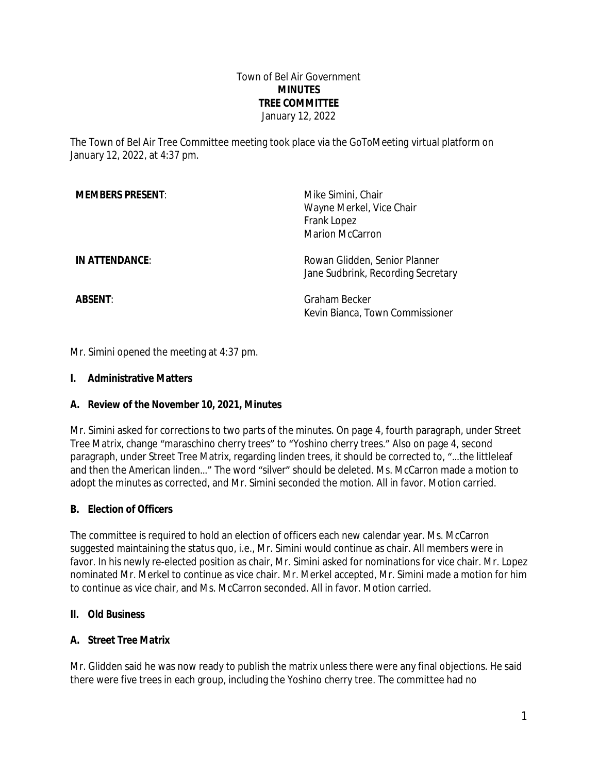Town of Bel Air Government **MINUTES TREE COMMITTEE** January 12, 2022

The Town of Bel Air Tree Committee meeting took place via the *GoToMeeting* virtual platform on January 12, 2022, at 4:37 pm.

| <b>MEMBERS PRESENT:</b> | Mike Simini, Chair<br>Wayne Merkel, Vice Chair<br>Frank Lopez<br>Marion McCarron |
|-------------------------|----------------------------------------------------------------------------------|
| IN ATTENDANCE:          | Rowan Glidden, Senior Planner<br>Jane Sudbrink, Recording Secretary              |
| <b>ABSENT:</b>          | Graham Becker<br>Kevin Bianca, Town Commissioner                                 |

Mr. Simini opened the meeting at 4:37 pm.

#### **I. Administrative Matters**

#### **A. Review of the November 10, 2021, Minutes**

Mr. Simini asked for corrections to two parts of the minutes. On page 4, fourth paragraph, under Street Tree Matrix, change "maraschino cherry trees" to "Yoshino cherry trees." Also on page 4, second paragraph, under Street Tree Matrix, regarding linden trees, it should be corrected to, "…the littleleaf and then the American linden…" The word "silver" should be deleted. Ms. McCarron made a motion to adopt the minutes as corrected, and Mr. Simini seconded the motion. All in favor. Motion carried.

### **B. Election of Officers**

The committee is required to hold an election of officers each new calendar year. Ms. McCarron suggested maintaining the status quo, i.e., Mr. Simini would continue as chair. All members were in favor. In his newly re-elected position as chair, Mr. Simini asked for nominations for vice chair. Mr. Lopez nominated Mr. Merkel to continue as vice chair. Mr. Merkel accepted, Mr. Simini made a motion for him to continue as vice chair, and Ms. McCarron seconded. All in favor. Motion carried.

#### **II. Old Business**

### **A. Street Tree Matrix**

Mr. Glidden said he was now ready to publish the matrix unless there were any final objections. He said there were five trees in each group, including the Yoshino cherry tree. The committee had no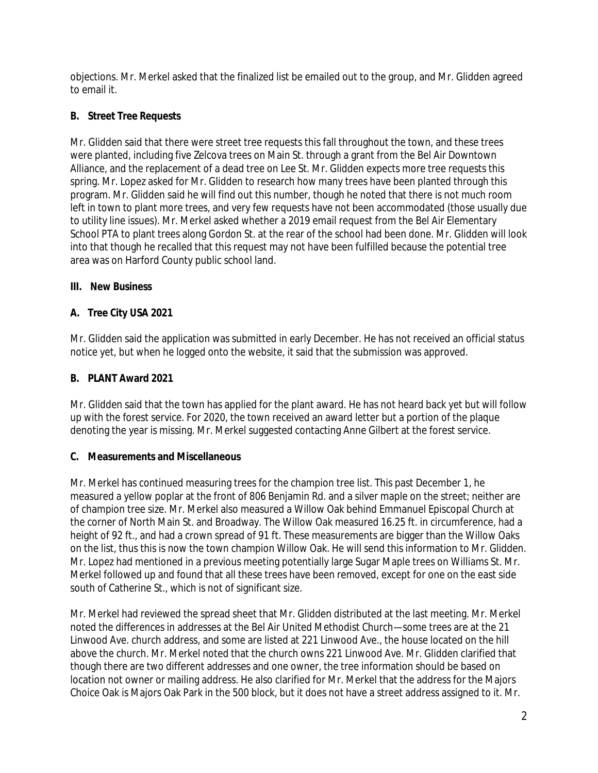objections. Mr. Merkel asked that the finalized list be emailed out to the group, and Mr. Glidden agreed to email it.

# **B. Street Tree Requests**

Mr. Glidden said that there were street tree requests this fall throughout the town, and these trees were planted, including five Zelcova trees on Main St. through a grant from the Bel Air Downtown Alliance, and the replacement of a dead tree on Lee St. Mr. Glidden expects more tree requests this spring. Mr. Lopez asked for Mr. Glidden to research how many trees have been planted through this program. Mr. Glidden said he will find out this number, though he noted that there is not much room left in town to plant more trees, and very few requests have not been accommodated (those usually due to utility line issues). Mr. Merkel asked whether a 2019 email request from the Bel Air Elementary School PTA to plant trees along Gordon St. at the rear of the school had been done. Mr. Glidden will look into that though he recalled that this request may not have been fulfilled because the potential tree area was on Harford County public school land.

## **III. New Business**

# **A. Tree City USA 2021**

Mr. Glidden said the application was submitted in early December. He has not received an official status notice yet, but when he logged onto the website, it said that the submission was approved.

# **B. PLANT Award 2021**

Mr. Glidden said that the town has applied for the plant award. He has not heard back yet but will follow up with the forest service. For 2020, the town received an award letter but a portion of the plaque denoting the year is missing. Mr. Merkel suggested contacting Anne Gilbert at the forest service.

## **C. Measurements and Miscellaneous**

Mr. Merkel has continued measuring trees for the champion tree list. This past December 1, he measured a yellow poplar at the front of 806 Benjamin Rd. and a silver maple on the street; neither are of champion tree size. Mr. Merkel also measured a Willow Oak behind Emmanuel Episcopal Church at the corner of North Main St. and Broadway. The Willow Oak measured 16.25 ft. in circumference, had a height of 92 ft., and had a crown spread of 91 ft. These measurements are bigger than the Willow Oaks on the list, thus this is now the town champion Willow Oak. He will send this information to Mr. Glidden. Mr. Lopez had mentioned in a previous meeting potentially large Sugar Maple trees on Williams St. Mr. Merkel followed up and found that all these trees have been removed, except for one on the east side south of Catherine St., which is not of significant size.

Mr. Merkel had reviewed the spread sheet that Mr. Glidden distributed at the last meeting. Mr. Merkel noted the differences in addresses at the Bel Air United Methodist Church—some trees are at the 21 Linwood Ave. church address, and some are listed at 221 Linwood Ave., the house located on the hill above the church. Mr. Merkel noted that the church owns 221 Linwood Ave. Mr. Glidden clarified that though there are two different addresses and one owner, the tree information should be based on location not owner or mailing address. He also clarified for Mr. Merkel that the address for the Majors Choice Oak is Majors Oak Park in the 500 block, but it does not have a street address assigned to it. Mr.